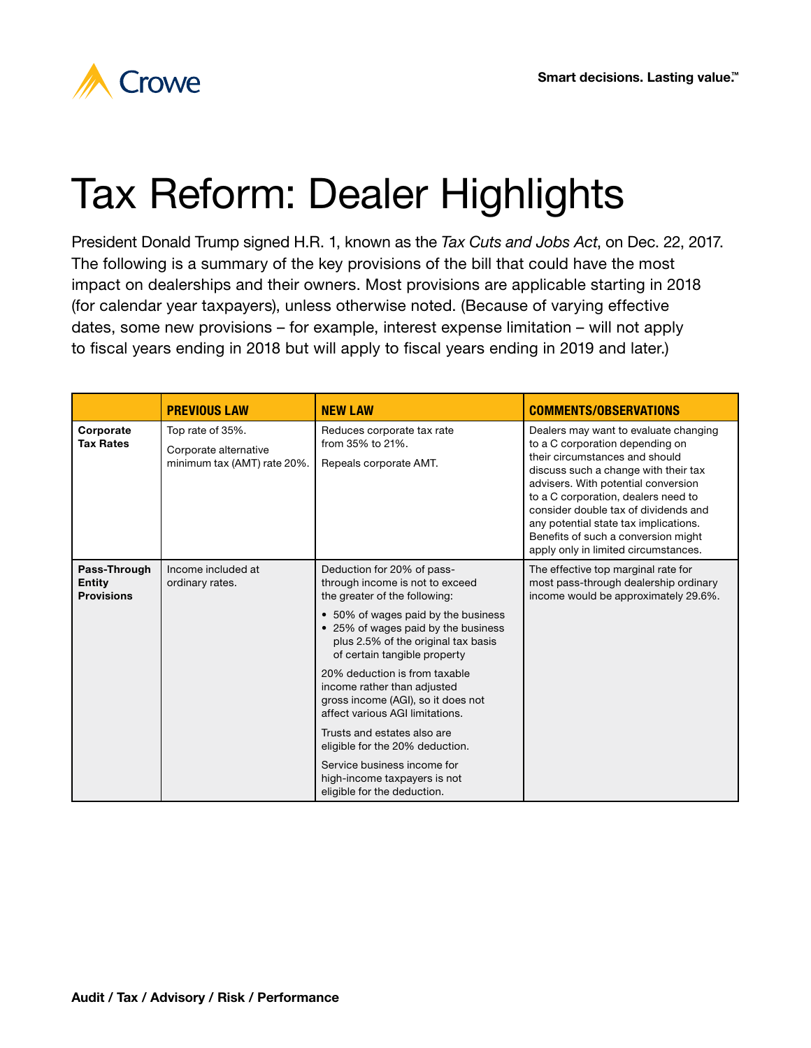

## Tax Reform: Dealer Highlights

President Donald Trump signed H.R. 1, known as the *Tax Cuts and Jobs Act*, on Dec. 22, 2017. The following is a summary of the key provisions of the bill that could have the most impact on dealerships and their owners. Most provisions are applicable starting in 2018 (for calendar year taxpayers), unless otherwise noted. (Because of varying effective dates, some new provisions – for example, interest expense limitation – will not apply to fiscal years ending in 2018 but will apply to fiscal years ending in 2019 and later.)

|                                                    | <b>PREVIOUS LAW</b>                                                      | <b>NEW LAW</b>                                                                                                                                                                                                                                                                                                                                                                                                                                                                                                                                               | <b>COMMENTS/OBSERVATIONS</b>                                                                                                                                                                                                                                                                                                                                                                     |
|----------------------------------------------------|--------------------------------------------------------------------------|--------------------------------------------------------------------------------------------------------------------------------------------------------------------------------------------------------------------------------------------------------------------------------------------------------------------------------------------------------------------------------------------------------------------------------------------------------------------------------------------------------------------------------------------------------------|--------------------------------------------------------------------------------------------------------------------------------------------------------------------------------------------------------------------------------------------------------------------------------------------------------------------------------------------------------------------------------------------------|
| Corporate<br><b>Tax Rates</b>                      | Top rate of 35%.<br>Corporate alternative<br>minimum tax (AMT) rate 20%. | Reduces corporate tax rate<br>from 35% to 21%.<br>Repeals corporate AMT.                                                                                                                                                                                                                                                                                                                                                                                                                                                                                     | Dealers may want to evaluate changing<br>to a C corporation depending on<br>their circumstances and should<br>discuss such a change with their tax<br>advisers. With potential conversion<br>to a C corporation, dealers need to<br>consider double tax of dividends and<br>any potential state tax implications.<br>Benefits of such a conversion might<br>apply only in limited circumstances. |
| Pass-Through<br><b>Entity</b><br><b>Provisions</b> | Income included at<br>ordinary rates.                                    | Deduction for 20% of pass-<br>through income is not to exceed<br>the greater of the following:<br>• 50% of wages paid by the business<br>• 25% of wages paid by the business<br>plus 2.5% of the original tax basis<br>of certain tangible property<br>20% deduction is from taxable<br>income rather than adjusted<br>gross income (AGI), so it does not<br>affect various AGI limitations.<br>Trusts and estates also are<br>eligible for the 20% deduction.<br>Service business income for<br>high-income taxpayers is not<br>eligible for the deduction. | The effective top marginal rate for<br>most pass-through dealership ordinary<br>income would be approximately 29.6%.                                                                                                                                                                                                                                                                             |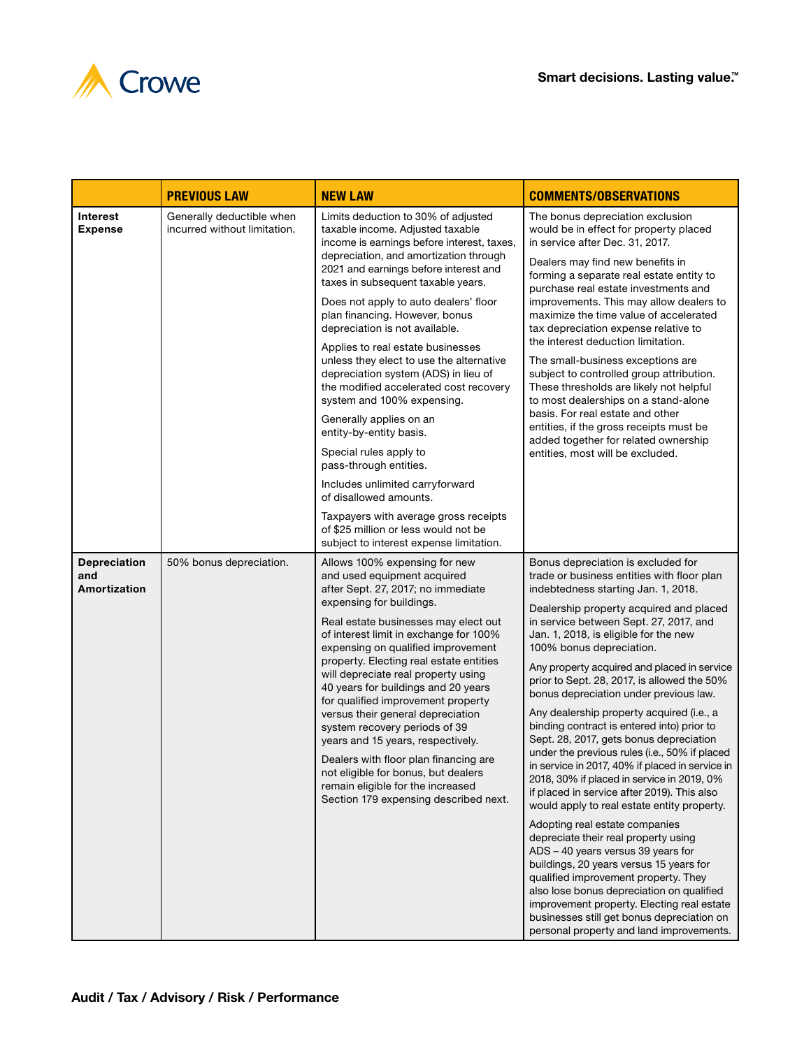

|                                            | <b>PREVIOUS LAW</b>                                       | <b>NEW LAW</b>                                                                                                                                                                                                                                                                                                                                                                                                                                                                                                                                                                                                                                                                                                                                                                                                                                                  | <b>COMMENTS/OBSERVATIONS</b>                                                                                                                                                                                                                                                                                                                                                                                                                                                                                                                                                                                                                                                                                                                                                                                                                                                                                                                                                                                                                                                                                                                                                                            |
|--------------------------------------------|-----------------------------------------------------------|-----------------------------------------------------------------------------------------------------------------------------------------------------------------------------------------------------------------------------------------------------------------------------------------------------------------------------------------------------------------------------------------------------------------------------------------------------------------------------------------------------------------------------------------------------------------------------------------------------------------------------------------------------------------------------------------------------------------------------------------------------------------------------------------------------------------------------------------------------------------|---------------------------------------------------------------------------------------------------------------------------------------------------------------------------------------------------------------------------------------------------------------------------------------------------------------------------------------------------------------------------------------------------------------------------------------------------------------------------------------------------------------------------------------------------------------------------------------------------------------------------------------------------------------------------------------------------------------------------------------------------------------------------------------------------------------------------------------------------------------------------------------------------------------------------------------------------------------------------------------------------------------------------------------------------------------------------------------------------------------------------------------------------------------------------------------------------------|
| <b>Interest</b><br><b>Expense</b>          | Generally deductible when<br>incurred without limitation. | Limits deduction to 30% of adjusted<br>taxable income. Adjusted taxable<br>income is earnings before interest, taxes,<br>depreciation, and amortization through<br>2021 and earnings before interest and<br>taxes in subsequent taxable years.<br>Does not apply to auto dealers' floor<br>plan financing. However, bonus<br>depreciation is not available.<br>Applies to real estate businesses<br>unless they elect to use the alternative<br>depreciation system (ADS) in lieu of<br>the modified accelerated cost recovery<br>system and 100% expensing.<br>Generally applies on an<br>entity-by-entity basis.<br>Special rules apply to<br>pass-through entities.<br>Includes unlimited carryforward<br>of disallowed amounts.<br>Taxpayers with average gross receipts<br>of \$25 million or less would not be<br>subject to interest expense limitation. | The bonus depreciation exclusion<br>would be in effect for property placed<br>in service after Dec. 31, 2017.<br>Dealers may find new benefits in<br>forming a separate real estate entity to<br>purchase real estate investments and<br>improvements. This may allow dealers to<br>maximize the time value of accelerated<br>tax depreciation expense relative to<br>the interest deduction limitation.<br>The small-business exceptions are<br>subject to controlled group attribution.<br>These thresholds are likely not helpful<br>to most dealerships on a stand-alone<br>basis. For real estate and other<br>entities, if the gross receipts must be<br>added together for related ownership<br>entities, most will be excluded.                                                                                                                                                                                                                                                                                                                                                                                                                                                                 |
| <b>Depreciation</b><br>and<br>Amortization | 50% bonus depreciation.                                   | Allows 100% expensing for new<br>and used equipment acquired<br>after Sept. 27, 2017; no immediate<br>expensing for buildings.<br>Real estate businesses may elect out<br>of interest limit in exchange for 100%<br>expensing on qualified improvement<br>property. Electing real estate entities<br>will depreciate real property using<br>40 years for buildings and 20 years<br>for qualified improvement property<br>versus their general depreciation<br>system recovery periods of 39<br>years and 15 years, respectively.<br>Dealers with floor plan financing are<br>not eligible for bonus, but dealers<br>remain eligible for the increased<br>Section 179 expensing described next.                                                                                                                                                                  | Bonus depreciation is excluded for<br>trade or business entities with floor plan<br>indebtedness starting Jan. 1, 2018.<br>Dealership property acquired and placed<br>in service between Sept. 27, 2017, and<br>Jan. 1, 2018, is eligible for the new<br>100% bonus depreciation.<br>Any property acquired and placed in service<br>prior to Sept. 28, 2017, is allowed the 50%<br>bonus depreciation under previous law.<br>Any dealership property acquired (i.e., a<br>binding contract is entered into) prior to<br>Sept. 28, 2017, gets bonus depreciation<br>under the previous rules (i.e., 50% if placed<br>in service in 2017, 40% if placed in service in<br>2018, 30% if placed in service in 2019, 0%<br>if placed in service after 2019). This also<br>would apply to real estate entity property.<br>Adopting real estate companies<br>depreciate their real property using<br>ADS - 40 years versus 39 years for<br>buildings, 20 years versus 15 years for<br>qualified improvement property. They<br>also lose bonus depreciation on qualified<br>improvement property. Electing real estate<br>businesses still get bonus depreciation on<br>personal property and land improvements. |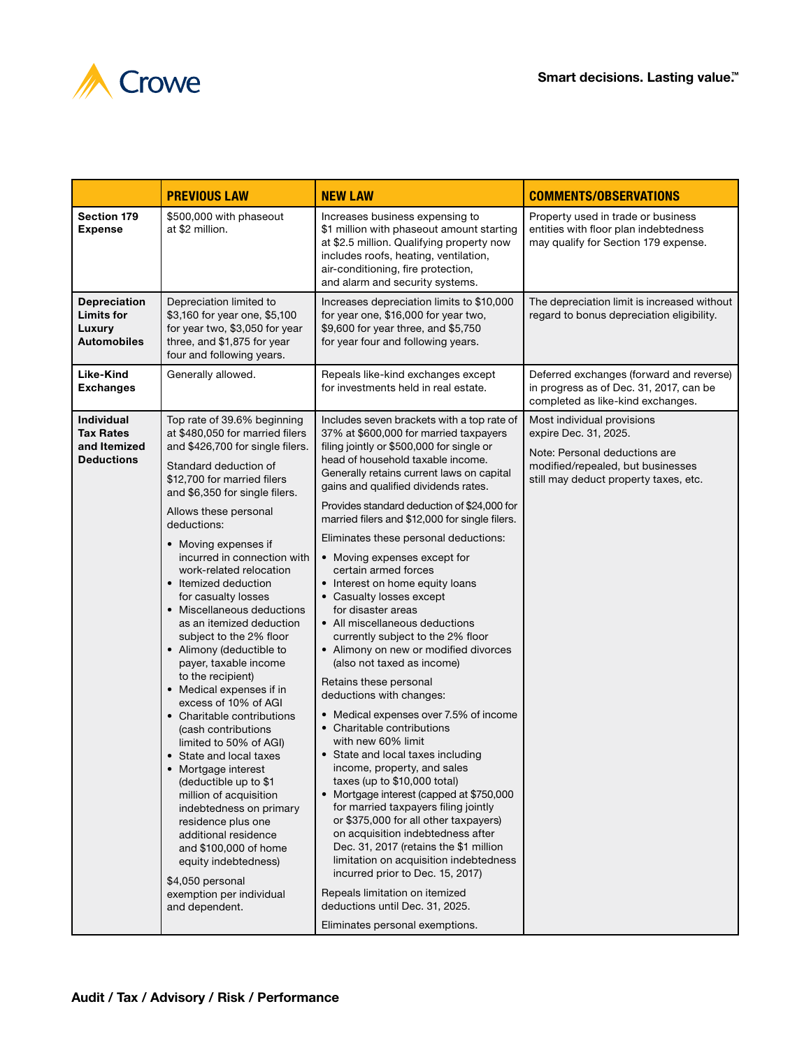



|                                                                            | <b>PREVIOUS LAW</b>                                                                                                                                                                                                                                                                                                                                                                                                                                                                                                                                                                                                                                                                                                                                                      | <b>NEW LAW</b>                                                                                                                                                                                                                                                                                                                                                                                                                                                                                                                                                                                                                                                                                                                                                                                                                                                                                                                                                                                                                                                                              | <b>COMMENTS/OBSERVATIONS</b>                                                                                                                                       |
|----------------------------------------------------------------------------|--------------------------------------------------------------------------------------------------------------------------------------------------------------------------------------------------------------------------------------------------------------------------------------------------------------------------------------------------------------------------------------------------------------------------------------------------------------------------------------------------------------------------------------------------------------------------------------------------------------------------------------------------------------------------------------------------------------------------------------------------------------------------|---------------------------------------------------------------------------------------------------------------------------------------------------------------------------------------------------------------------------------------------------------------------------------------------------------------------------------------------------------------------------------------------------------------------------------------------------------------------------------------------------------------------------------------------------------------------------------------------------------------------------------------------------------------------------------------------------------------------------------------------------------------------------------------------------------------------------------------------------------------------------------------------------------------------------------------------------------------------------------------------------------------------------------------------------------------------------------------------|--------------------------------------------------------------------------------------------------------------------------------------------------------------------|
| <b>Section 179</b><br><b>Expense</b>                                       | \$500,000 with phaseout<br>at \$2 million.                                                                                                                                                                                                                                                                                                                                                                                                                                                                                                                                                                                                                                                                                                                               | Increases business expensing to<br>\$1 million with phaseout amount starting<br>at \$2.5 million. Qualifying property now<br>includes roofs, heating, ventilation,<br>air-conditioning, fire protection,<br>and alarm and security systems.                                                                                                                                                                                                                                                                                                                                                                                                                                                                                                                                                                                                                                                                                                                                                                                                                                                 | Property used in trade or business<br>entities with floor plan indebtedness<br>may qualify for Section 179 expense.                                                |
| <b>Depreciation</b><br><b>Limits for</b><br>Luxury<br><b>Automobiles</b>   | Depreciation limited to<br>\$3,160 for year one, \$5,100<br>for year two, \$3,050 for year<br>three, and \$1,875 for year<br>four and following years.                                                                                                                                                                                                                                                                                                                                                                                                                                                                                                                                                                                                                   | Increases depreciation limits to \$10,000<br>for year one, \$16,000 for year two,<br>\$9,600 for year three, and \$5,750<br>for year four and following years.                                                                                                                                                                                                                                                                                                                                                                                                                                                                                                                                                                                                                                                                                                                                                                                                                                                                                                                              | The depreciation limit is increased without<br>regard to bonus depreciation eligibility.                                                                           |
| Like-Kind<br><b>Exchanges</b>                                              | Generally allowed.                                                                                                                                                                                                                                                                                                                                                                                                                                                                                                                                                                                                                                                                                                                                                       | Repeals like-kind exchanges except<br>for investments held in real estate.                                                                                                                                                                                                                                                                                                                                                                                                                                                                                                                                                                                                                                                                                                                                                                                                                                                                                                                                                                                                                  | Deferred exchanges (forward and reverse)<br>in progress as of Dec. 31, 2017, can be<br>completed as like-kind exchanges.                                           |
| <b>Individual</b><br><b>Tax Rates</b><br>and Itemized<br><b>Deductions</b> | Top rate of 39.6% beginning<br>at \$480,050 for married filers<br>and \$426,700 for single filers.<br>Standard deduction of<br>\$12,700 for married filers<br>and \$6,350 for single filers.                                                                                                                                                                                                                                                                                                                                                                                                                                                                                                                                                                             | Includes seven brackets with a top rate of<br>37% at \$600,000 for married taxpayers<br>filing jointly or \$500,000 for single or<br>head of household taxable income.<br>Generally retains current laws on capital<br>gains and qualified dividends rates.                                                                                                                                                                                                                                                                                                                                                                                                                                                                                                                                                                                                                                                                                                                                                                                                                                 | Most individual provisions<br>expire Dec. 31, 2025.<br>Note: Personal deductions are<br>modified/repealed, but businesses<br>still may deduct property taxes, etc. |
|                                                                            | Allows these personal<br>deductions:<br>• Moving expenses if<br>incurred in connection with<br>work-related relocation<br>• Itemized deduction<br>for casualty losses<br>• Miscellaneous deductions<br>as an itemized deduction<br>subject to the 2% floor<br>• Alimony (deductible to<br>payer, taxable income<br>to the recipient)<br>• Medical expenses if in<br>excess of 10% of AGI<br>• Charitable contributions<br>(cash contributions<br>limited to 50% of AGI)<br>• State and local taxes<br>• Mortgage interest<br>(deductible up to \$1<br>million of acquisition<br>indebtedness on primary<br>residence plus one<br>additional residence<br>and \$100,000 of home<br>equity indebtedness)<br>\$4,050 personal<br>exemption per individual<br>and dependent. | Provides standard deduction of \$24,000 for<br>married filers and \$12,000 for single filers.<br>Eliminates these personal deductions:<br>• Moving expenses except for<br>certain armed forces<br>• Interest on home equity loans<br>• Casualty losses except<br>for disaster areas<br>• All miscellaneous deductions<br>currently subject to the 2% floor<br>• Alimony on new or modified divorces<br>(also not taxed as income)<br>Retains these personal<br>deductions with changes:<br>• Medical expenses over 7.5% of income<br>• Charitable contributions<br>with new 60% limit<br>• State and local taxes including<br>income, property, and sales<br>taxes (up to \$10,000 total)<br>• Mortgage interest (capped at \$750,000<br>for married taxpayers filing jointly<br>or \$375,000 for all other taxpayers)<br>on acquisition indebtedness after<br>Dec. 31, 2017 (retains the \$1 million<br>limitation on acquisition indebtedness<br>incurred prior to Dec. 15, 2017)<br>Repeals limitation on itemized<br>deductions until Dec. 31, 2025.<br>Eliminates personal exemptions. |                                                                                                                                                                    |